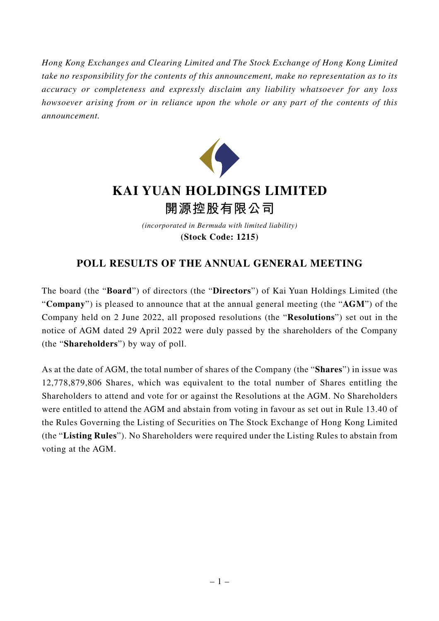*Hong Kong Exchanges and Clearing Limited and The Stock Exchange of Hong Kong Limited take no responsibility for the contents of this announcement, make no representation as to its accuracy or completeness and expressly disclaim any liability whatsoever for any loss howsoever arising from or in reliance upon the whole or any part of the contents of this announcement.*



## **KAI YUAN HOLDINGS LIMITED 開源控股有限公司**

*(incorporated in Bermuda with limited liability)* **(Stock Code: 1215)**

## **POLL RESULTS OF THE ANNUAL GENERAL MEETING**

The board (the "**Board**") of directors (the "**Directors**") of Kai Yuan Holdings Limited (the "**Company**") is pleased to announce that at the annual general meeting (the "**AGM**") of the Company held on 2 June 2022, all proposed resolutions (the "**Resolutions**") set out in the notice of AGM dated 29 April 2022 were duly passed by the shareholders of the Company (the "**Shareholders**") by way of poll.

As at the date of AGM, the total number of shares of the Company (the "**Shares**") in issue was 12,778,879,806 Shares, which was equivalent to the total number of Shares entitling the Shareholders to attend and vote for or against the Resolutions at the AGM. No Shareholders were entitled to attend the AGM and abstain from voting in favour as set out in Rule 13.40 of the Rules Governing the Listing of Securities on The Stock Exchange of Hong Kong Limited (the "**Listing Rules**"). No Shareholders were required under the Listing Rules to abstain from voting at the AGM.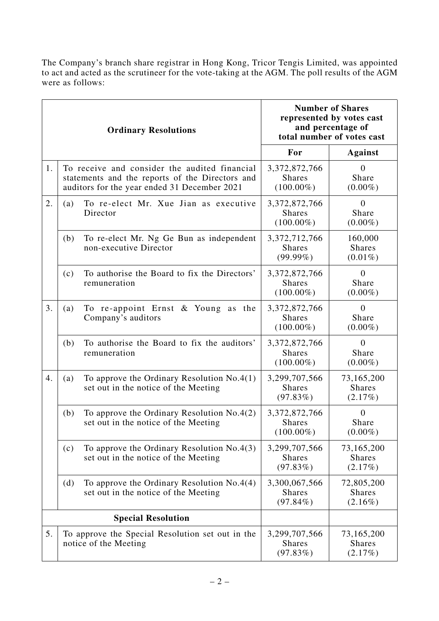The Company's branch share registrar in Hong Kong, Tricor Tengis Limited, was appointed to act and acted as the scrutineer for the vote-taking at the AGM. The poll results of the AGM were as follows:

| <b>Ordinary Resolutions</b> |                                                                                                                                                  |                                                                                      | <b>Number of Shares</b><br>represented by votes cast<br>and percentage of<br>total number of votes cast |                                           |
|-----------------------------|--------------------------------------------------------------------------------------------------------------------------------------------------|--------------------------------------------------------------------------------------|---------------------------------------------------------------------------------------------------------|-------------------------------------------|
|                             |                                                                                                                                                  |                                                                                      | For                                                                                                     | <b>Against</b>                            |
| 1.                          | To receive and consider the audited financial<br>statements and the reports of the Directors and<br>auditors for the year ended 31 December 2021 |                                                                                      | 3,372,872,766<br><b>Shares</b><br>$(100.00\%)$                                                          | $\theta$<br>Share<br>$(0.00\%)$           |
| 2.                          | (a)                                                                                                                                              | To re-elect Mr. Xue Jian as executive<br>Director                                    | 3, 372, 872, 766<br><b>Shares</b><br>$(100.00\%)$                                                       | $\theta$<br>Share<br>$(0.00\%)$           |
|                             | (b)                                                                                                                                              | To re-elect Mr. Ng Ge Bun as independent<br>non-executive Director                   | 3, 372, 712, 766<br><b>Shares</b><br>$(99.99\%)$                                                        | 160,000<br><b>Shares</b><br>$(0.01\%)$    |
|                             | (c)                                                                                                                                              | To authorise the Board to fix the Directors'<br>remuneration                         | 3,372,872,766<br><b>Shares</b><br>$(100.00\%)$                                                          | $\overline{0}$<br>Share<br>$(0.00\%)$     |
| 3.                          | (a)                                                                                                                                              | To re-appoint Ernst & Young as the<br>Company's auditors                             | 3, 372, 872, 766<br><b>Shares</b><br>$(100.00\%)$                                                       | $\overline{0}$<br>Share<br>$(0.00\%)$     |
|                             | (b)                                                                                                                                              | To authorise the Board to fix the auditors'<br>remuneration                          | 3,372,872,766<br><b>Shares</b><br>$(100.00\%)$                                                          | $\overline{0}$<br>Share<br>$(0.00\%)$     |
| 4.                          | (a)                                                                                                                                              | To approve the Ordinary Resolution $No.4(1)$<br>set out in the notice of the Meeting | 3,299,707,566<br><b>Shares</b><br>(97.83%)                                                              | 73,165,200<br><b>Shares</b><br>(2.17%)    |
|                             | (b)                                                                                                                                              | To approve the Ordinary Resolution $No.4(2)$<br>set out in the notice of the Meeting | 3, 372, 872, 766<br><b>Shares</b><br>$(100.00\%)$                                                       | $\boldsymbol{0}$<br>Share<br>$(0.00\%)$   |
|                             | (c)                                                                                                                                              | To approve the Ordinary Resolution $No.4(3)$<br>set out in the notice of the Meeting | 3,299,707,566<br><b>Shares</b><br>(97.83%)                                                              | 73,165,200<br><b>Shares</b><br>(2.17%)    |
|                             | (d)                                                                                                                                              | To approve the Ordinary Resolution $No.4(4)$<br>set out in the notice of the Meeting | 3,300,067,566<br><b>Shares</b><br>$(97.84\%)$                                                           | 72,805,200<br><b>Shares</b><br>$(2.16\%)$ |
| <b>Special Resolution</b>   |                                                                                                                                                  |                                                                                      |                                                                                                         |                                           |
| 5.                          | To approve the Special Resolution set out in the<br>notice of the Meeting                                                                        |                                                                                      | 3,299,707,566<br><b>Shares</b><br>(97.83%)                                                              | 73,165,200<br><b>Shares</b><br>(2.17%)    |